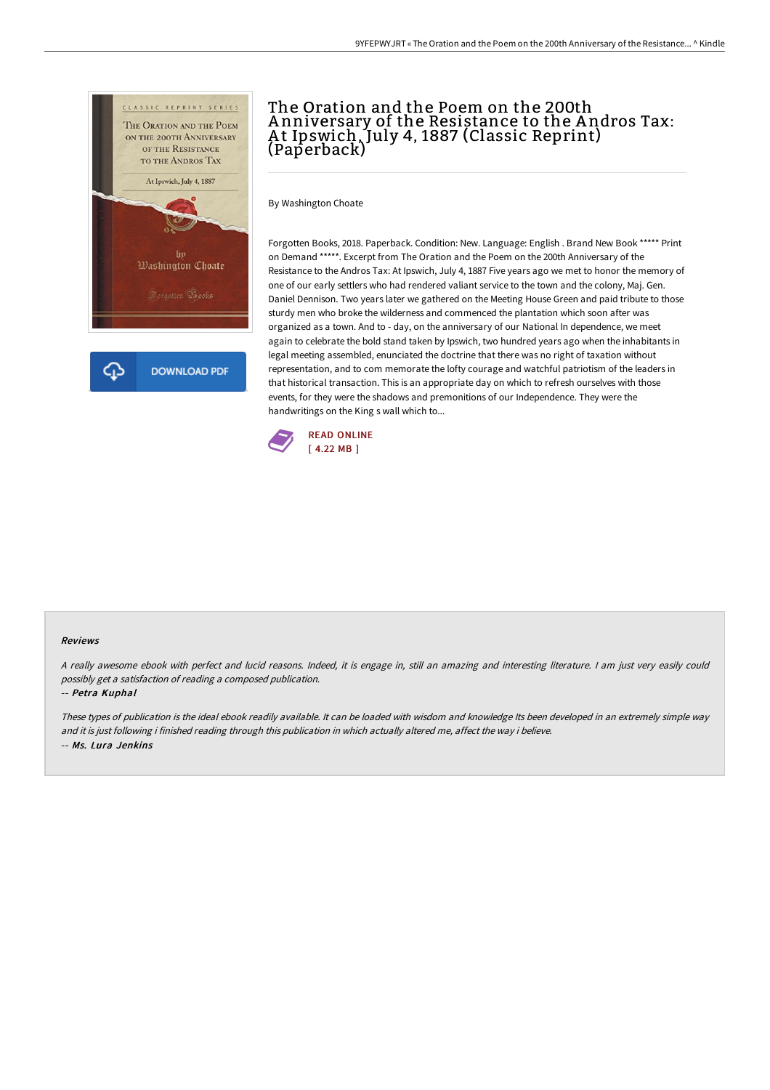

# The Oration and the Poem on the 200th A nniversary of the Resistance to the A ndros Tax: At Ipswich, July 4, 1887 (Classic Reprint) (Paperback)

By Washington Choate

Forgotten Books, 2018. Paperback. Condition: New. Language: English . Brand New Book \*\*\*\*\* Print on Demand \*\*\*\*\*. Excerpt from The Oration and the Poem on the 200th Anniversary of the Resistance to the Andros Tax: At Ipswich, July 4, 1887 Five years ago we met to honor the memory of one of our early settlers who had rendered valiant service to the town and the colony, Maj. Gen. Daniel Dennison. Two years later we gathered on the Meeting House Green and paid tribute to those sturdy men who broke the wilderness and commenced the plantation which soon after was organized as a town. And to - day, on the anniversary of our National In dependence, we meet again to celebrate the bold stand taken by Ipswich, two hundred years ago when the inhabitants in legal meeting assembled, enunciated the doctrine that there was no right of taxation without representation, and to com memorate the lofty courage and watchful patriotism of the leaders in that historical transaction. This is an appropriate day on which to refresh ourselves with those events, for they were the shadows and premonitions of our Independence. They were the handwritings on the King s wall which to...



#### Reviews

<sup>A</sup> really awesome ebook with perfect and lucid reasons. Indeed, it is engage in, still an amazing and interesting literature. <sup>I</sup> am just very easily could possibly get <sup>a</sup> satisfaction of reading <sup>a</sup> composed publication.

-- Petra Kuphal

These types of publication is the ideal ebook readily available. It can be loaded with wisdom and knowledge Its been developed in an extremely simple way and it is just following i finished reading through this publication in which actually altered me, affect the way i believe. -- Ms. Lura Jenkins